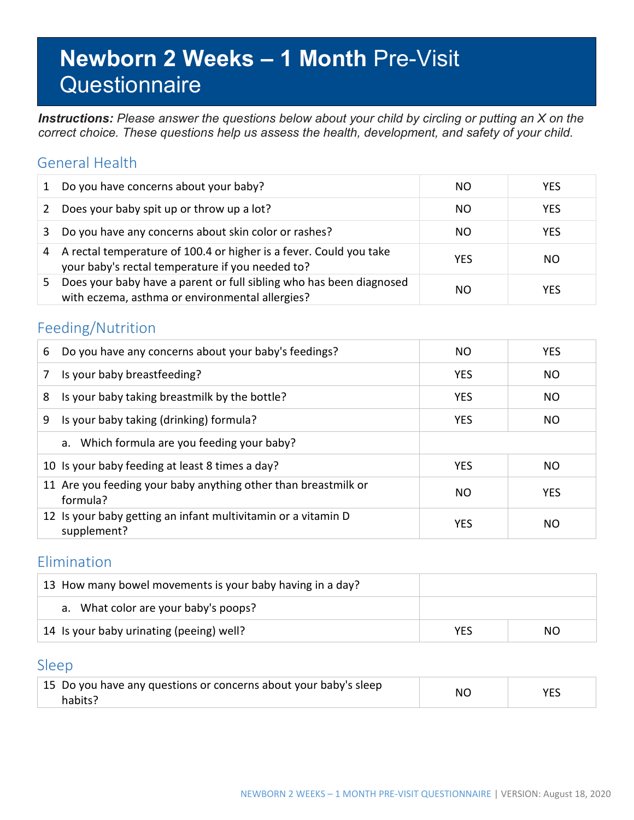# **Newborn 2 Weeks – 1 Month** Pre-Visit **Questionnaire**

*Instructions: Please answer the questions below about your child by circling or putting an X on the correct choice. These questions help us assess the health, development, and safety of your child.*

#### General Health

|    | Do you have concerns about your baby?                                                                                  | NO.        | <b>YES</b> |
|----|------------------------------------------------------------------------------------------------------------------------|------------|------------|
| 2  | Does your baby spit up or throw up a lot?                                                                              | NO.        | <b>YES</b> |
| 3. | Do you have any concerns about skin color or rashes?                                                                   | NO.        | <b>YES</b> |
| 4  | A rectal temperature of 100.4 or higher is a fever. Could you take<br>your baby's rectal temperature if you needed to? | <b>YES</b> | NO.        |
| 5. | Does your baby have a parent or full sibling who has been diagnosed<br>with eczema, asthma or environmental allergies? | NO         | <b>YES</b> |

#### Feeding/Nutrition

| 6 | Do you have any concerns about your baby's feedings?                         | NO.        | <b>YES</b> |
|---|------------------------------------------------------------------------------|------------|------------|
| 7 | Is your baby breastfeeding?                                                  | <b>YES</b> | NO         |
| 8 | Is your baby taking breastmilk by the bottle?                                | <b>YES</b> | NO.        |
| 9 | Is your baby taking (drinking) formula?                                      | <b>YES</b> | NO.        |
|   | a. Which formula are you feeding your baby?                                  |            |            |
|   | 10 Is your baby feeding at least 8 times a day?                              | <b>YES</b> | NO.        |
|   | 11 Are you feeding your baby anything other than breastmilk or<br>formula?   | NO         | <b>YES</b> |
|   | 12 Is your baby getting an infant multivitamin or a vitamin D<br>supplement? | <b>YES</b> | NΟ         |

### Elimination

| 13 How many bowel movements is your baby having in a day? |     |     |
|-----------------------------------------------------------|-----|-----|
| a. What color are your baby's poops?                      |     |     |
| 14 Is your baby urinating (peeing) well?                  | YES | NO. |

#### Sleep

| 15 Do you have any questions or concerns about your baby's sleep | ΝC | YES |  |
|------------------------------------------------------------------|----|-----|--|
| habits?                                                          |    |     |  |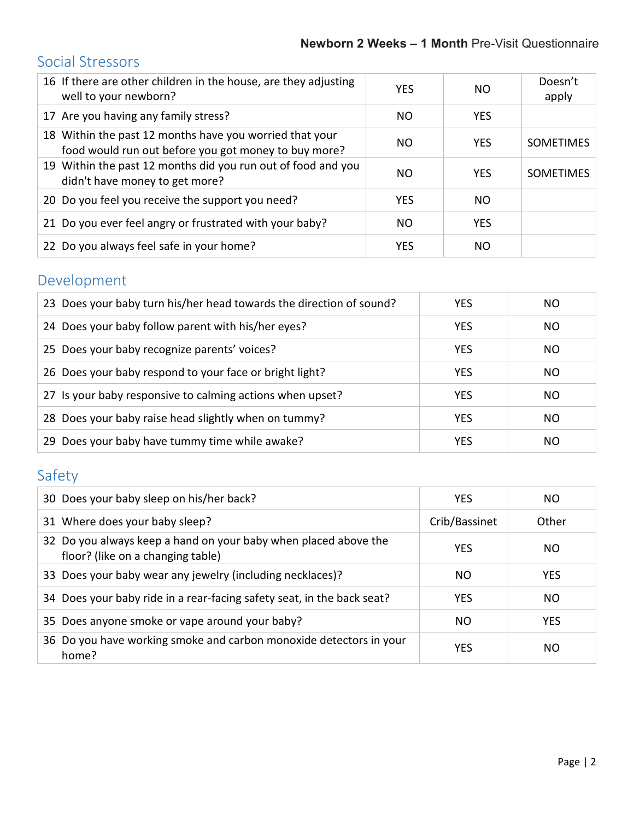# Social Stressors

| 16 If there are other children in the house, are they adjusting<br>well to your newborn?                        | <b>YES</b> | NO.        | Doesn't<br>apply |
|-----------------------------------------------------------------------------------------------------------------|------------|------------|------------------|
| 17 Are you having any family stress?                                                                            | NO.        | <b>YES</b> |                  |
| 18 Within the past 12 months have you worried that your<br>food would run out before you got money to buy more? | NO.        | <b>YES</b> | <b>SOMETIMES</b> |
| 19 Within the past 12 months did you run out of food and you<br>didn't have money to get more?                  | NO.        | <b>YES</b> | <b>SOMETIMES</b> |
| 20 Do you feel you receive the support you need?                                                                | <b>YES</b> | NO.        |                  |
| 21 Do you ever feel angry or frustrated with your baby?                                                         | NO.        | <b>YES</b> |                  |
| 22 Do you always feel safe in your home?                                                                        | <b>YES</b> | NO.        |                  |

# Development

| 23 Does your baby turn his/her head towards the direction of sound? | <b>YES</b> | NO. |
|---------------------------------------------------------------------|------------|-----|
| 24 Does your baby follow parent with his/her eyes?                  | <b>YES</b> | NO. |
| 25 Does your baby recognize parents' voices?                        | <b>YES</b> | NO. |
| 26 Does your baby respond to your face or bright light?             | <b>YES</b> | NO. |
| 27 Is your baby responsive to calming actions when upset?           | <b>YES</b> | NO. |
| 28 Does your baby raise head slightly when on tummy?                | <b>YES</b> | NO. |
| 29 Does your baby have tummy time while awake?                      | <b>YES</b> | NO. |

# Safety

| 30 Does your baby sleep on his/her back?                                                             | <b>YES</b>    | NO.        |
|------------------------------------------------------------------------------------------------------|---------------|------------|
| 31 Where does your baby sleep?                                                                       | Crib/Bassinet | Other      |
| 32 Do you always keep a hand on your baby when placed above the<br>floor? (like on a changing table) | YES           | NO.        |
| 33 Does your baby wear any jewelry (including necklaces)?                                            | NO.           | <b>YES</b> |
| 34 Does your baby ride in a rear-facing safety seat, in the back seat?                               | <b>YES</b>    | NO.        |
| 35 Does anyone smoke or vape around your baby?                                                       | NO.           | <b>YES</b> |
| 36 Do you have working smoke and carbon monoxide detectors in your<br>home?                          | YES           | NO.        |